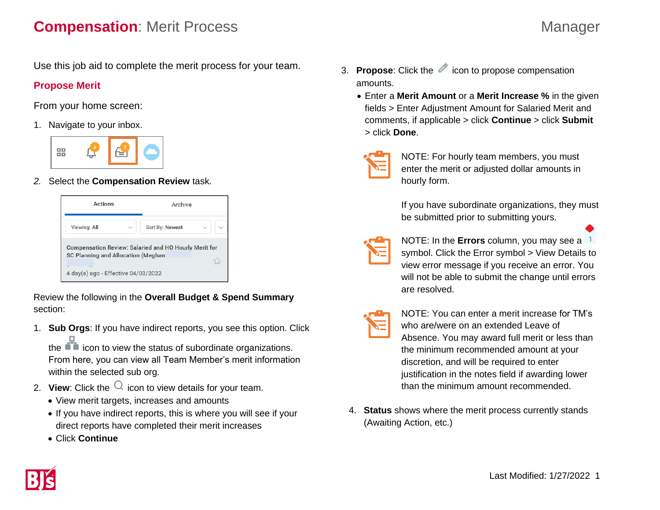## **Compensation**: Merit Process Manager

Use this job aid to complete the merit process for your team.

## **Propose Merit**

From your home screen:

1. Navigate to your inbox.



*2.* Select the **Compensation Review** task.

| Actions                                                                                                                            | Archive         |
|------------------------------------------------------------------------------------------------------------------------------------|-----------------|
| Viewing: All<br>$\checkmark$                                                                                                       | Sort By: Newest |
| Compensation Review: Salaried and HO Hourly Merit for<br>SC Planning and Allocation (Meghan<br>4 day(s) ago - Effective 04/03/2022 |                 |

Review the following in the **Overall Budget & Spend Summary** section:

1. **Sub Orgs**: If you have indirect reports, you see this option. Click

the **interellat** icon to view the status of subordinate organizations. From here, you can view all Team Member's merit information within the selected sub org.

- 2. **View**: Click the  $\Omega$  icon to view details for your team.
	- View merit targets, increases and amounts
	- If you have indirect reports, this is where you will see if your direct reports have completed their merit increases
	- Click **Continue**
- 3. **Propose**: Click the *icon* to propose compensation amounts.
	- Enter a **Merit Amount** or a **Merit Increase %** in the given fields > Enter Adjustment Amount for Salaried Merit and comments, if applicable > click **Continue** > click **Submit**  > click **Done**.
	-
- NOTE: For hourly team members, you must enter the merit or adjusted dollar amounts in hourly form.

If you have subordinate organizations, they must be submitted prior to submitting yours.



NOTE: In the **Errors** column, you may see a symbol. Click the Error symbol > View Details to view error message if you receive an error. You will not be able to submit the change until errors are resolved.

| and the state of the state of the state of the state of the state of the state of the state of the state of th       |
|----------------------------------------------------------------------------------------------------------------------|
|                                                                                                                      |
| ______                                                                                                               |
| <b>Contract Contract Contract Contract Contract Contract Contract Contract Contract Contract Contract Contract C</b> |
| ---                                                                                                                  |

NOTE: You can enter a merit increase for TM's who are/were on an extended Leave of Absence. You may award full merit or less than the minimum recommended amount at your discretion, and will be required to enter justification in the notes field if awarding lower than the minimum amount recommended.

4. **Status** shows where the merit process currently stands (Awaiting Action, etc.)